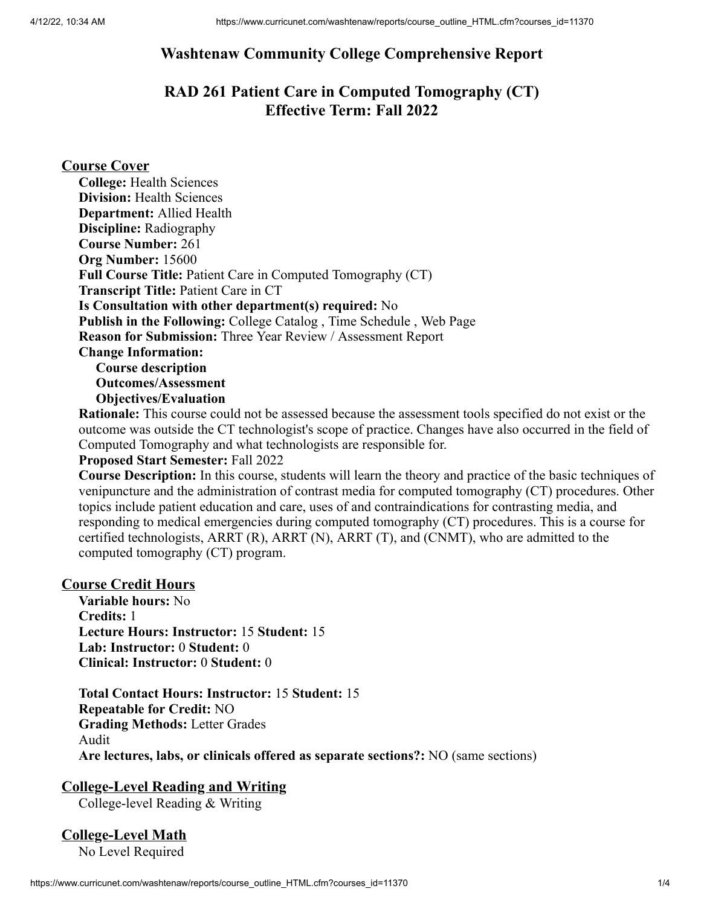### **Washtenaw Community College Comprehensive Report**

### **RAD 261 Patient Care in Computed Tomography (CT) Effective Term: Fall 2022**

### **Course Cover**

**Rationale:** This course could not be assessed because the assessment tools specified do not exist or the outcome was outside the CT technologist's scope of practice. Changes have also occurred in the field of Computed Tomography and what technologists are responsible for.

#### **Proposed Start Semester:** Fall 2022

**Course Description:** In this course, students will learn the theory and practice of the basic techniques of venipuncture and the administration of contrast media for computed tomography (CT) procedures. Other topics include patient education and care, uses of and contraindications for contrasting media, and responding to medical emergencies during computed tomography (CT) procedures. This is a course for certified technologists, ARRT (R), ARRT (N), ARRT (T), and (CNMT), who are admitted to the computed tomography (CT) program.

#### **Course Credit Hours**

**Variable hours:** No **Credits:** 1 **Lecture Hours: Instructor:** 15 **Student:** 15 **Lab: Instructor:** 0 **Student:** 0 **Clinical: Instructor:** 0 **Student:** 0

**Total Contact Hours: Instructor:** 15 **Student:** 15 **Repeatable for Credit:** NO **Grading Methods:** Letter Grades Audit **Are lectures, labs, or clinicals offered as separate sections?:** NO (same sections)

#### **College-Level Reading and Writing**

College-level Reading & Writing

### **College-Level Math**

No Level Required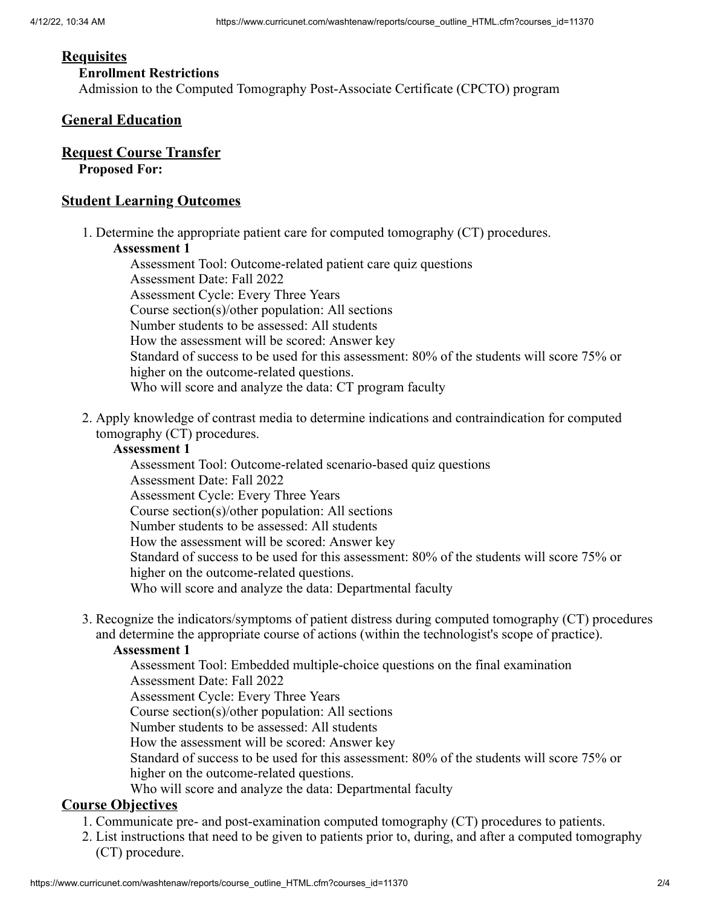#### **Requisites**

#### **Enrollment Restrictions**

Admission to the Computed Tomography Post-Associate Certificate (CPCTO) program

#### **General Education**

#### **Request Course Transfer**

**Proposed For:**

#### **Student Learning Outcomes**

1. Determine the appropriate patient care for computed tomography (CT) procedures.

#### **Assessment 1**

Assessment Tool: Outcome-related patient care quiz questions Assessment Date: Fall 2022 Assessment Cycle: Every Three Years Course section(s)/other population: All sections Number students to be assessed: All students How the assessment will be scored: Answer key Standard of success to be used for this assessment: 80% of the students will score 75% or higher on the outcome-related questions. Who will score and analyze the data: CT program faculty

2. Apply knowledge of contrast media to determine indications and contraindication for computed tomography (CT) procedures.

#### **Assessment 1**

Assessment Tool: Outcome-related scenario-based quiz questions Assessment Date: Fall 2022 Assessment Cycle: Every Three Years Course section(s)/other population: All sections Number students to be assessed: All students How the assessment will be scored: Answer key Standard of success to be used for this assessment: 80% of the students will score 75% or higher on the outcome-related questions. Who will score and analyze the data: Departmental faculty

3. Recognize the indicators/symptoms of patient distress during computed tomography (CT) procedures and determine the appropriate course of actions (within the technologist's scope of practice).

#### **Assessment 1**

Assessment Tool: Embedded multiple-choice questions on the final examination Assessment Date: Fall 2022 Assessment Cycle: Every Three Years Course section(s)/other population: All sections

Number students to be assessed: All students

How the assessment will be scored: Answer key

Standard of success to be used for this assessment: 80% of the students will score 75% or higher on the outcome-related questions.

Who will score and analyze the data: Departmental faculty

### **Course Objectives**

- 1. Communicate pre- and post-examination computed tomography (CT) procedures to patients.
- 2. List instructions that need to be given to patients prior to, during, and after a computed tomography (CT) procedure.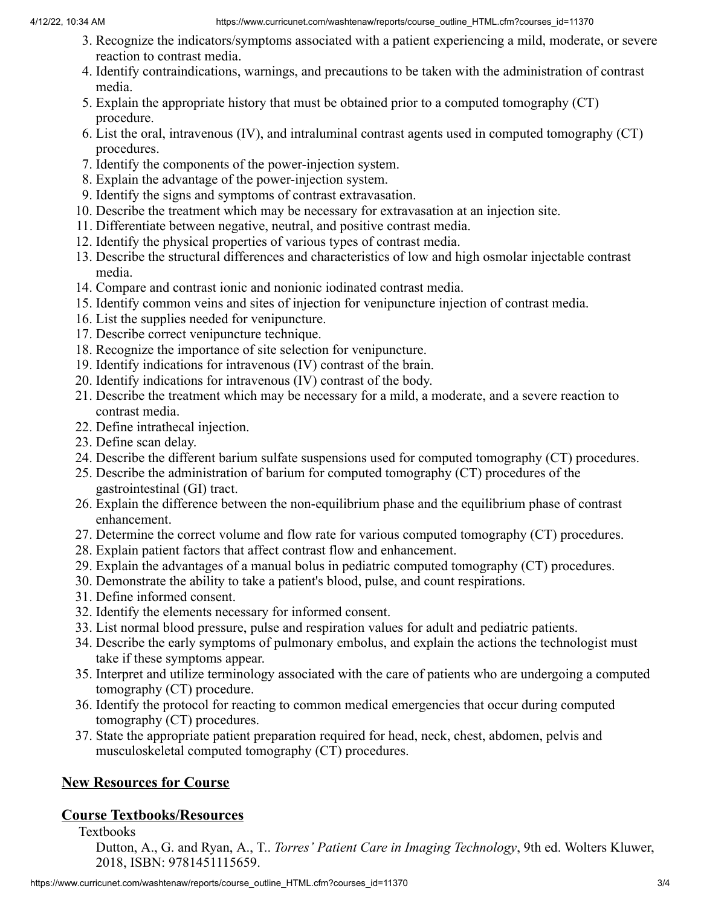- 3. Recognize the indicators/symptoms associated with a patient experiencing a mild, moderate, or severe reaction to contrast media.
- 4. Identify contraindications, warnings, and precautions to be taken with the administration of contrast media.
- 5. Explain the appropriate history that must be obtained prior to a computed tomography (CT) procedure.
- 6. List the oral, intravenous (IV), and intraluminal contrast agents used in computed tomography (CT) procedures.
- 7. Identify the components of the power-injection system.
- 8. Explain the advantage of the power-injection system.
- 9. Identify the signs and symptoms of contrast extravasation.
- 10. Describe the treatment which may be necessary for extravasation at an injection site.
- 11. Differentiate between negative, neutral, and positive contrast media.
- 12. Identify the physical properties of various types of contrast media.
- 13. Describe the structural differences and characteristics of low and high osmolar injectable contrast media.
- 14. Compare and contrast ionic and nonionic iodinated contrast media.
- 15. Identify common veins and sites of injection for venipuncture injection of contrast media.
- 16. List the supplies needed for venipuncture.
- 17. Describe correct venipuncture technique.
- 18. Recognize the importance of site selection for venipuncture.
- 19. Identify indications for intravenous (IV) contrast of the brain.
- 20. Identify indications for intravenous (IV) contrast of the body.
- 21. Describe the treatment which may be necessary for a mild, a moderate, and a severe reaction to contrast media.
- 22. Define intrathecal injection.
- 23. Define scan delay.
- 24. Describe the different barium sulfate suspensions used for computed tomography (CT) procedures.
- 25. Describe the administration of barium for computed tomography (CT) procedures of the gastrointestinal (GI) tract.
- 26. Explain the difference between the non-equilibrium phase and the equilibrium phase of contrast enhancement.
- 27. Determine the correct volume and flow rate for various computed tomography (CT) procedures.
- 28. Explain patient factors that affect contrast flow and enhancement.
- 29. Explain the advantages of a manual bolus in pediatric computed tomography (CT) procedures.
- 30. Demonstrate the ability to take a patient's blood, pulse, and count respirations.
- 31. Define informed consent.
- 32. Identify the elements necessary for informed consent.
- 33. List normal blood pressure, pulse and respiration values for adult and pediatric patients.
- 34. Describe the early symptoms of pulmonary embolus, and explain the actions the technologist must take if these symptoms appear.
- 35. Interpret and utilize terminology associated with the care of patients who are undergoing a computed tomography (CT) procedure.
- 36. Identify the protocol for reacting to common medical emergencies that occur during computed tomography (CT) procedures.
- 37. State the appropriate patient preparation required for head, neck, chest, abdomen, pelvis and musculoskeletal computed tomography (CT) procedures.

## **New Resources for Course**

## **Course Textbooks/Resources**

Textbooks

Dutton, A., G. and Ryan, A., T.. *Torres' Patient Care in Imaging Technology*, 9th ed. Wolters Kluwer, 2018, ISBN: 9781451115659.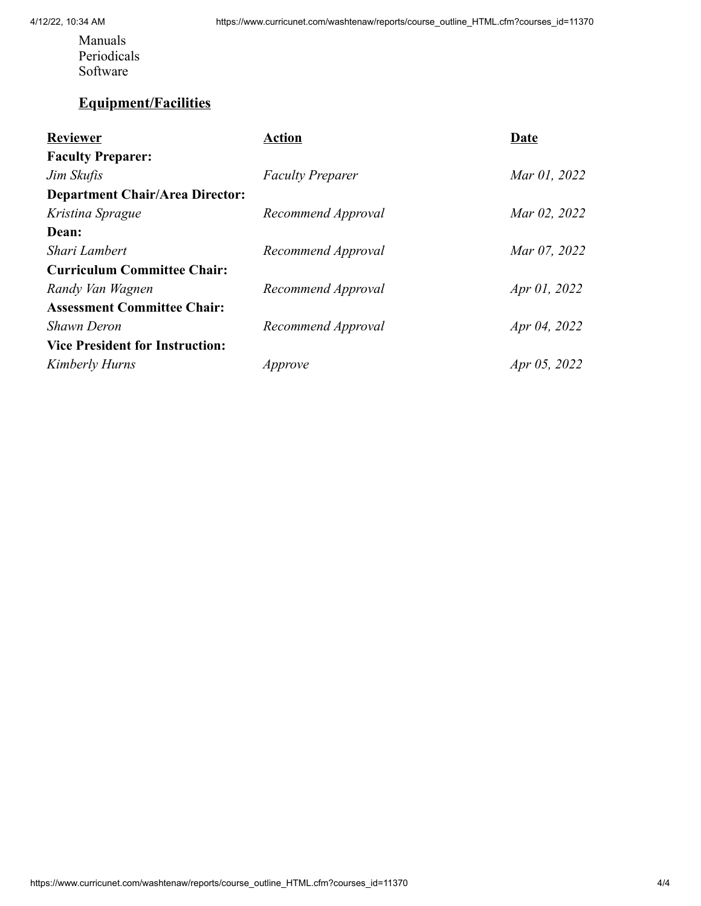Manuals Periodicals Software

## **Equipment/Facilities**

| <b>Reviewer</b>                        | Action                  | Date         |
|----------------------------------------|-------------------------|--------------|
| <b>Faculty Preparer:</b>               |                         |              |
| Jim Skufis                             | <b>Faculty Preparer</b> | Mar 01, 2022 |
| <b>Department Chair/Area Director:</b> |                         |              |
| Kristina Sprague                       | Recommend Approval      | Mar 02, 2022 |
| Dean:                                  |                         |              |
| Shari Lambert                          | Recommend Approval      | Mar 07, 2022 |
| <b>Curriculum Committee Chair:</b>     |                         |              |
| Randy Van Wagnen                       | Recommend Approval      | Apr 01, 2022 |
| <b>Assessment Committee Chair:</b>     |                         |              |
| Shawn Deron                            | Recommend Approval      | Apr 04, 2022 |
| <b>Vice President for Instruction:</b> |                         |              |
| Kimberly Hurns                         | Approve                 | Apr 05, 2022 |
|                                        |                         |              |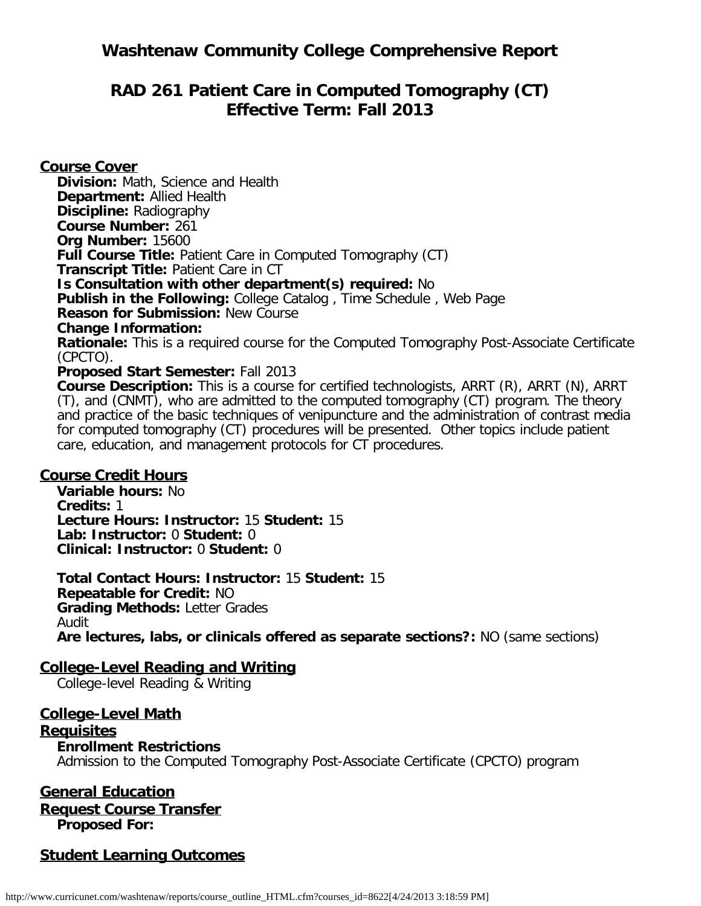## **Washtenaw Community College Comprehensive Report**

## **RAD 261 Patient Care in Computed Tomography (CT) Effective Term: Fall 2013**

**Course Cover Division:** Math, Science and Health **Department:** Allied Health **Discipline:** Radiography **Course Number:** 261 **Org Number:** 15600 **Full Course Title: Patient Care in Computed Tomography (CT) Transcript Title:** Patient Care in CT **Is Consultation with other department(s) required:** No **Publish in the Following:** College Catalog , Time Schedule , Web Page **Reason for Submission:** New Course **Change Information: Rationale:** This is a required course for the Computed Tomography Post-Associate Certificate (CPCTO). **Proposed Start Semester:** Fall 2013

**Course Description:** This is a course for certified technologists, ARRT (R), ARRT (N), ARRT (T), and (CNMT), who are admitted to the computed tomography (CT) program. The theory and practice of the basic techniques of venipuncture and the administration of contrast media for computed tomography (CT) procedures will be presented. Other topics include patient care, education, and management protocols for CT procedures.

#### **Course Credit Hours**

**Variable hours:** No **Credits:** 1 **Lecture Hours: Instructor:** 15 **Student:** 15 **Lab: Instructor:** 0 **Student:** 0 **Clinical: Instructor:** 0 **Student:** 0

**Total Contact Hours: Instructor:** 15 **Student:** 15 **Repeatable for Credit:** NO **Grading Methods:** Letter Grades Audit **Are lectures, labs, or clinicals offered as separate sections?:** NO (same sections)

### **College-Level Reading and Writing**

College-level Reading & Writing

### **College-Level Math**

#### **Requisites**

#### **Enrollment Restrictions**

Admission to the Computed Tomography Post-Associate Certificate (CPCTO) program

#### **General Education Request Course Transfer**

**Proposed For:**

### **Student Learning Outcomes**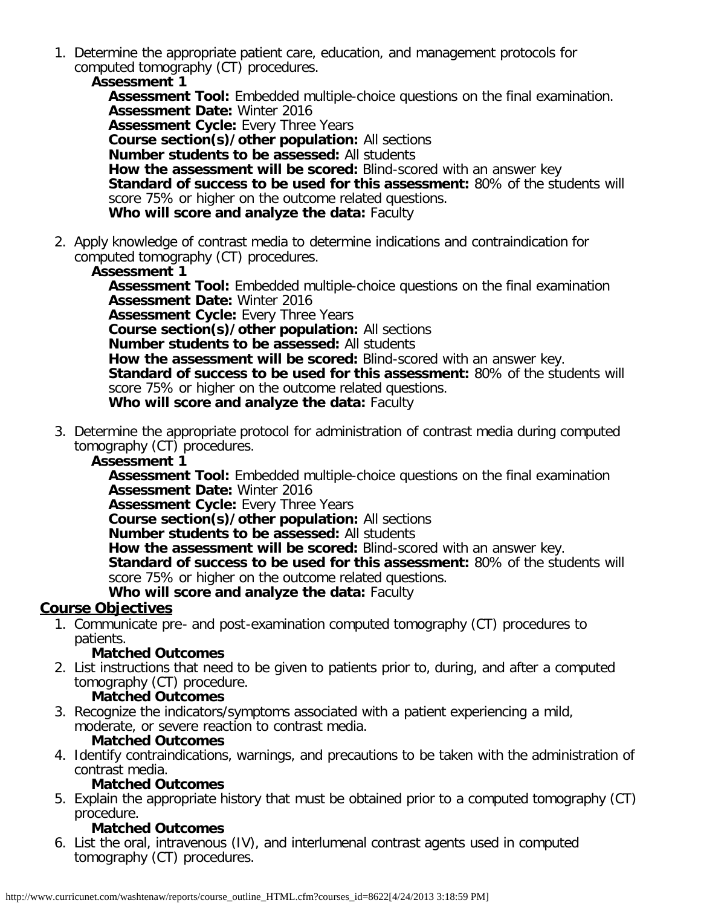1. Determine the appropriate patient care, education, and management protocols for computed tomography (CT) procedures.

**Assessment 1 Assessment Tool:** Embedded multiple-choice questions on the final examination. **Assessment Date:** Winter 2016 **Assessment Cycle:** Every Three Years **Course section(s)/other population:** All sections **Number students to be assessed:** All students **How the assessment will be scored:** Blind-scored with an answer key **Standard of success to be used for this assessment:** 80% of the students will score 75% or higher on the outcome related questions. **Who will score and analyze the data:** Faculty

2. Apply knowledge of contrast media to determine indications and contraindication for computed tomography (CT) procedures.

### **Assessment 1**

**Assessment Tool:** Embedded multiple-choice questions on the final examination **Assessment Date:** Winter 2016 **Assessment Cycle:** Every Three Years **Course section(s)/other population:** All sections **Number students to be assessed:** All students **How the assessment will be scored:** Blind-scored with an answer key. **Standard of success to be used for this assessment:** 80% of the students will score 75% or higher on the outcome related questions. **Who will score and analyze the data:** Faculty

3. Determine the appropriate protocol for administration of contrast media during computed tomography (CT) procedures.

### **Assessment 1**

**Assessment Tool:** Embedded multiple-choice questions on the final examination **Assessment Date:** Winter 2016

**Assessment Cycle: Every Three Years** 

**Course section(s)/other population:** All sections

**Number students to be assessed:** All students

**How the assessment will be scored:** Blind-scored with an answer key.

**Standard of success to be used for this assessment:** 80% of the students will score 75% or higher on the outcome related questions.

**Who will score and analyze the data:** Faculty

### **Course Objectives**

1. Communicate pre- and post-examination computed tomography (CT) procedures to patients.

#### **Matched Outcomes**

2. List instructions that need to be given to patients prior to, during, and after a computed tomography (CT) procedure.

#### **Matched Outcomes**

3. Recognize the indicators/symptoms associated with a patient experiencing a mild, moderate, or severe reaction to contrast media.

#### **Matched Outcomes**

4. Identify contraindications, warnings, and precautions to be taken with the administration of contrast media.

### **Matched Outcomes**

5. Explain the appropriate history that must be obtained prior to a computed tomography (CT) procedure.

### **Matched Outcomes**

6. List the oral, intravenous (IV), and interlumenal contrast agents used in computed tomography (CT) procedures.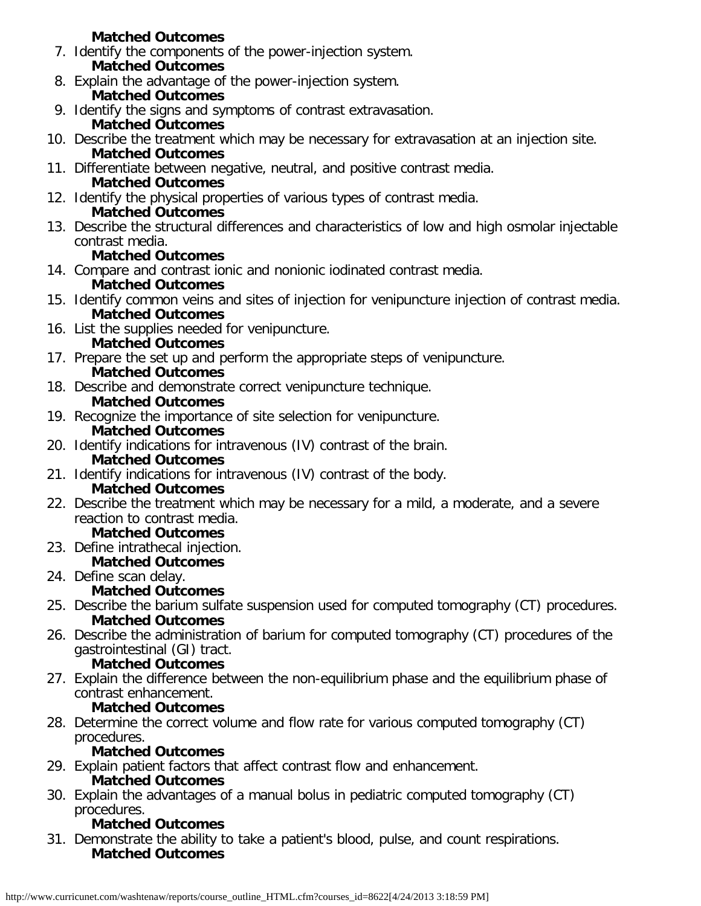### **Matched Outcomes** 7. Identify the components of the power-injection system. **Matched Outcomes**

- 8. Explain the advantage of the power-injection system. **Matched Outcomes**
- 9. Identify the signs and symptoms of contrast extravasation.

## **Matched Outcomes**

- 10. Describe the treatment which may be necessary for extravasation at an injection site. **Matched Outcomes**
- 11. Differentiate between negative, neutral, and positive contrast media. **Matched Outcomes**
- 12. Identify the physical properties of various types of contrast media. **Matched Outcomes**
- 13. Describe the structural differences and characteristics of low and high osmolar injectable contrast media.

## **Matched Outcomes**

- 14. Compare and contrast ionic and nonionic iodinated contrast media. **Matched Outcomes**
- 15. Identify common veins and sites of injection for venipuncture injection of contrast media. **Matched Outcomes**
- 16. List the supplies needed for venipuncture. **Matched Outcomes**
- 17. Prepare the set up and perform the appropriate steps of venipuncture. **Matched Outcomes**
- 18. Describe and demonstrate correct venipuncture technique. **Matched Outcomes**
- 19. Recognize the importance of site selection for venipuncture. **Matched Outcomes**
- 20. Identify indications for intravenous (IV) contrast of the brain. **Matched Outcomes**
- 21. Identify indications for intravenous (IV) contrast of the body. **Matched Outcomes**
- 22. Describe the treatment which may be necessary for a mild, a moderate, and a severe reaction to contrast media.

## **Matched Outcomes**

- 23. Define intrathecal injection.
	- **Matched Outcomes**
- 24. Define scan delay.

## **Matched Outcomes**

- 25. Describe the barium sulfate suspension used for computed tomography (CT) procedures. **Matched Outcomes**
- 26. Describe the administration of barium for computed tomography (CT) procedures of the gastrointestinal (GI) tract.

## **Matched Outcomes**

27. Explain the difference between the non-equilibrium phase and the equilibrium phase of contrast enhancement.

## **Matched Outcomes**

28. Determine the correct volume and flow rate for various computed tomography (CT) procedures.

## **Matched Outcomes**

- 29. Explain patient factors that affect contrast flow and enhancement. **Matched Outcomes**
- 30. Explain the advantages of a manual bolus in pediatric computed tomography (CT) procedures.

## **Matched Outcomes**

31. Demonstrate the ability to take a patient's blood, pulse, and count respirations. **Matched Outcomes**